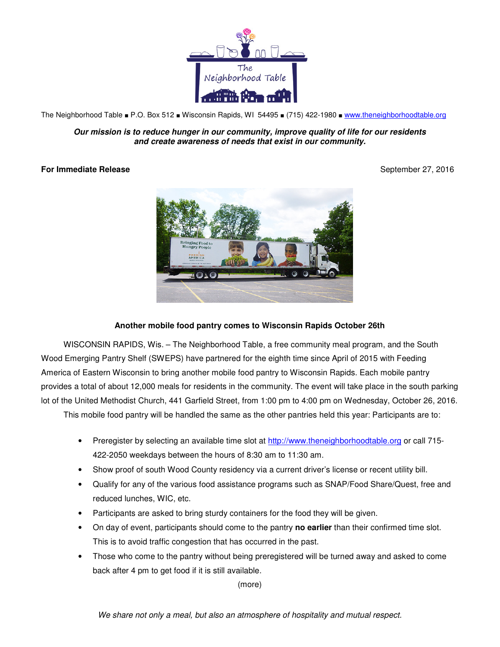

The Neighborhood Table ■ P.O. Box 512 ■ Wisconsin Rapids, WI 54495 ■ (715) 422-1980 ■ www.theneighborhoodtable.org

**Our mission is to reduce hunger in our community, improve quality of life for our residents and create awareness of needs that exist in our community.**

## **For Immediate Release**  September 27, 2016



## **Another mobile food pantry comes to Wisconsin Rapids October 26th**

WISCONSIN RAPIDS, Wis. – The Neighborhood Table, a free community meal program, and the South Wood Emerging Pantry Shelf (SWEPS) have partnered for the eighth time since April of 2015 with Feeding America of Eastern Wisconsin to bring another mobile food pantry to Wisconsin Rapids. Each mobile pantry provides a total of about 12,000 meals for residents in the community. The event will take place in the south parking lot of the United Methodist Church, 441 Garfield Street, from 1:00 pm to 4:00 pm on Wednesday, October 26, 2016.

This mobile food pantry will be handled the same as the other pantries held this year: Participants are to:

- Preregister by selecting an available time slot at http://www.theneighborhoodtable.org or call 715- 422-2050 weekdays between the hours of 8:30 am to 11:30 am.
- Show proof of south Wood County residency via a current driver's license or recent utility bill.
- Qualify for any of the various food assistance programs such as SNAP/Food Share/Quest, free and reduced lunches, WIC, etc.
- Participants are asked to bring sturdy containers for the food they will be given.
- On day of event, participants should come to the pantry **no earlier** than their confirmed time slot. This is to avoid traffic congestion that has occurred in the past.
- Those who come to the pantry without being preregistered will be turned away and asked to come back after 4 pm to get food if it is still available.

(more)

We share not only a meal, but also an atmosphere of hospitality and mutual respect.